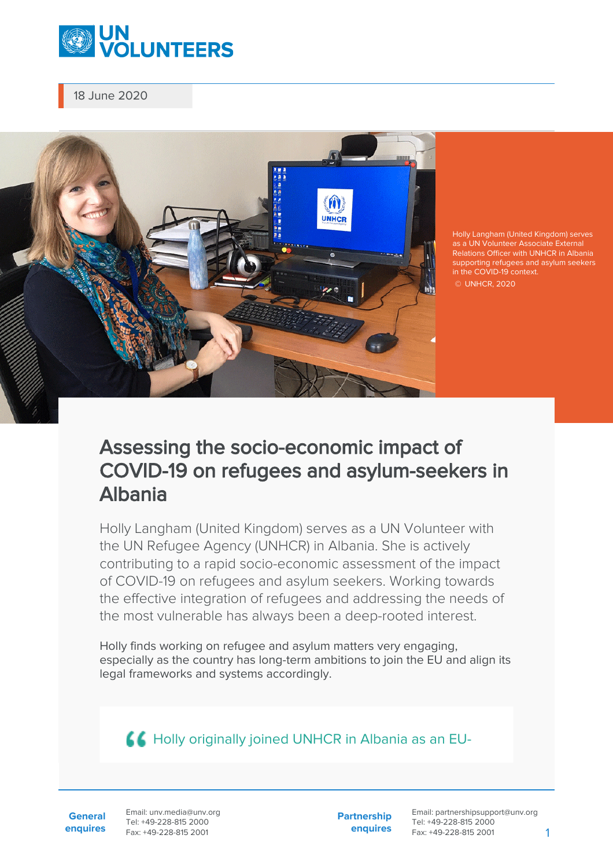

18 June 2020



Holly Langham (United Kingdom) serves as a UN Volunteer Associate External Relations Officer with UNHCR in Albania supporting refugees and asylum seekers in the COVID-19 context. © UNHCR, 2020

## Assessing the socio-economic impact of COVID-19 on refugees and asylum-seekers in Albania

Holly Langham (United Kingdom) serves as a UN Volunteer with the UN Refugee Agency (UNHCR) in Albania. She is actively contributing to a rapid socio-economic assessment of the impact of COVID-19 on refugees and asylum seekers. Working towards the effective integration of refugees and addressing the needs of the most vulnerable has always been a deep-rooted interest.

Holly finds working on refugee and asylum matters very engaging, especially as the country has long-term ambitions to join the EU and align its legal frameworks and systems accordingly.

**A Holly originally joined UNHCR in Albania as an EU-**

**General enquires** Email: unv.media@unv.org Tel: +49-228-815 2000 Fax: +49-228-815 2001

**Partnership enquires**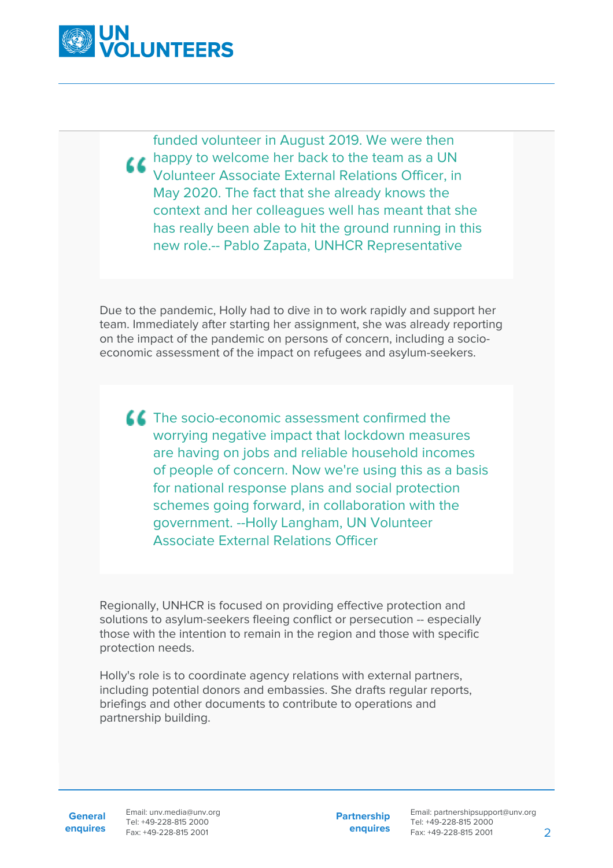

funded volunteer in August 2019. We were then **A happy to welcome her back to the team as a UN** Volunteer Associate External Relations Officer, in May 2020. The fact that she already knows the context and her colleagues well has meant that she has really been able to hit the ground running in this new role.-- Pablo Zapata, UNHCR Representative

Due to the pandemic, Holly had to dive in to work rapidly and support her team. Immediately after starting her assignment, she was already reporting on the impact of the pandemic on persons of concern, including a socioeconomic assessment of the impact on refugees and asylum-seekers.

**The socio-economic assessment confirmed the** worrying negative impact that lockdown measures are having on jobs and reliable household incomes of people of concern. Now we're using this as a basis for national response plans and social protection schemes going forward, in collaboration with the government. --Holly Langham, UN Volunteer Associate External Relations Officer

Regionally, UNHCR is focused on providing effective protection and solutions to asylum-seekers fleeing conflict or persecution -- especially those with the intention to remain in the region and those with specific protection needs.

Holly's role is to coordinate agency relations with external partners, including potential donors and embassies. She drafts regular reports, briefings and other documents to contribute to operations and partnership building.

**General**

**enquires** Fax: +49-228-815 2001 Email: unv.media@unv.org Tel: +49-228-815 2000

**Partnership enquires**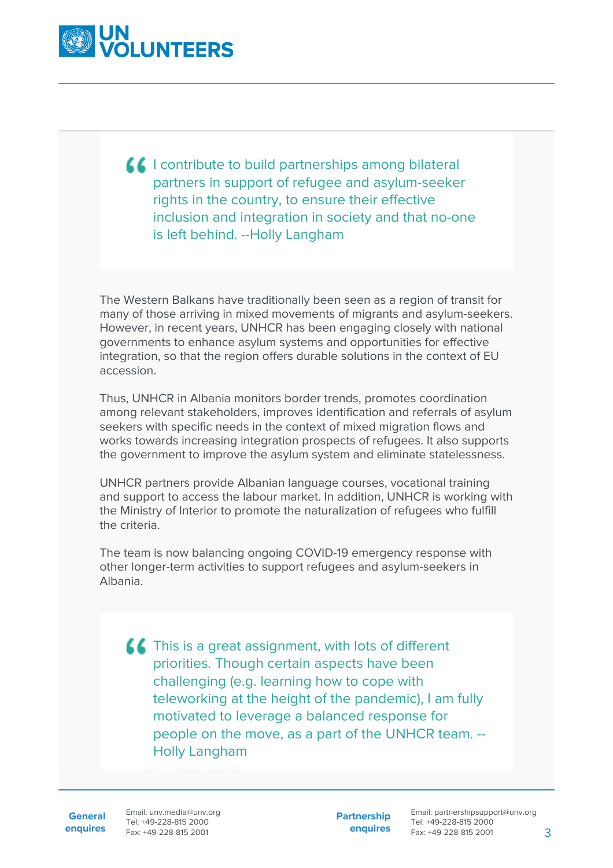

**If** I contribute to build partnerships among bilateral partners in support of refugee and asylum-seeker rights in the country, to ensure their effective inclusion and integration in society and that no-one is left behind. --Holly Langham

The Western Balkans have traditionally been seen as a region of transit for many of those arriving in mixed movements of migrants and asylum-seekers. However, in recent years, UNHCR has been engaging closely with national governments to enhance asylum systems and opportunities for effective integration, so that the region offers durable solutions in the context of EU accession.

Thus, UNHCR in Albania monitors border trends, promotes coordination among relevant stakeholders, improves identification and referrals of asylum seekers with specific needs in the context of mixed migration flows and works towards increasing integration prospects of refugees. It also supports the government to improve the asylum system and eliminate statelessness.

UNHCR partners provide Albanian language courses, vocational training and support to access the labour market. In addition, UNHCR is working with the Ministry of Interior to promote the naturalization of refugees who fulfill the criteria.

The team is now balancing ongoing COVID-19 emergency response with other longer-term activities to support refugees and asylum-seekers in Albania.

**ACT** This is a great assignment, with lots of different priorities. Though certain aspects have been challenging (e.g. learning how to cope with teleworking at the height of the pandemic), I am fully motivated to leverage a balanced response for people on the move, as a part of the UNHCR team. -- Holly Langham

**General**

**enquires** Fax: +49-228-815 2001 Email: unv.media@unv.org Tel: +49-228-815 2000

**Partnership enquires**